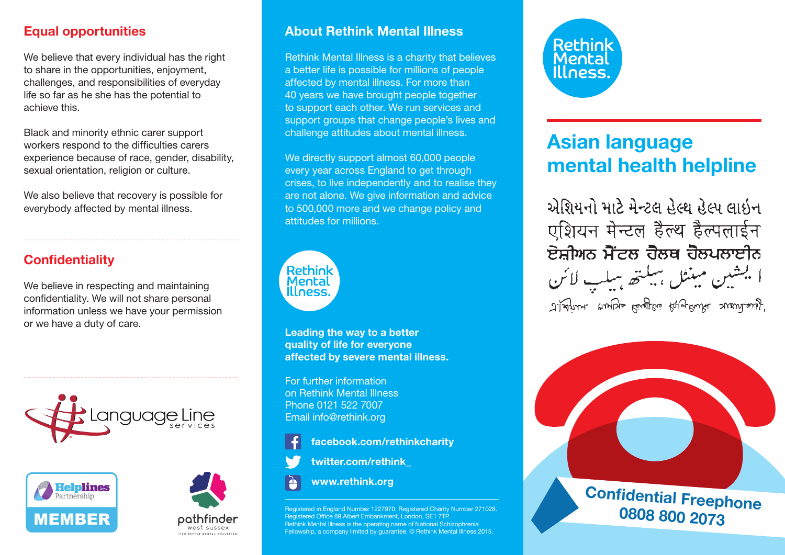# Equal opportunities

We believe that every individual has the right to share in the opportunities, enjoyment, challenges, and responsibilities of everyday life so far as he she has the potential to achieve this.

Black and minority ethnic carer support workers respond to the difficulties carers experience because of race, gender, disability, sexual orientation, religion or culture.

We also believe that recovery is possible for everybody affected by mental illness.

# **Confidentiality**

We believe in respecting and maintaining confidentiality. We will not share personal information unless we have your permission or we have a duty of care.







## About Rethink Mental Illness

Rethink Mental Illness is a charity that believes a better life is possible for millions of people affected by mental illness. For more than 40 years we have brought people together to support each other. We run services and support groups that change people's lives and challenge attitudes about mental illness.

We directly support almost 60,000 people every year across England to get through crises, to live independently and to realise they are not alone. We give information and advice to 500,000 more and we change policy and attitudes for millions.



Leading the way to a better quality of life for everyone affected by severe mental illness.

For further information on Rethink Mental Illness Phone 0121 522 7007 Email info@rethink.org

facebook.com/rethinkcharity

twitter.com/rethink\_



www.rethink.org

ered in England Number 1227970. Registered Charity Number 271028. Registered Office 89 Albert Embankment, London, SE1 7TP. Rethink Mental Illness is the operating name of National Schizophrenia Fellowship, a company limited by guarantee. © Rethink Mental Illness 2015.



# Asian language mental health helpline

એશિયનો માટે મેન્ટલ હેલ્થ હેલ્પ લાઈન एशियन मेन्टल हैल्थ हैल्पलाईन ਏਸ਼ੀਅਨ ਮੈਂਟਲ ਹੈਲਥ ਹੈਲਪਲਾਈਨ اليشين مبنثل ببيلته سلسب لائن 'J.Want anybe kinglas kruthwi wandarj.